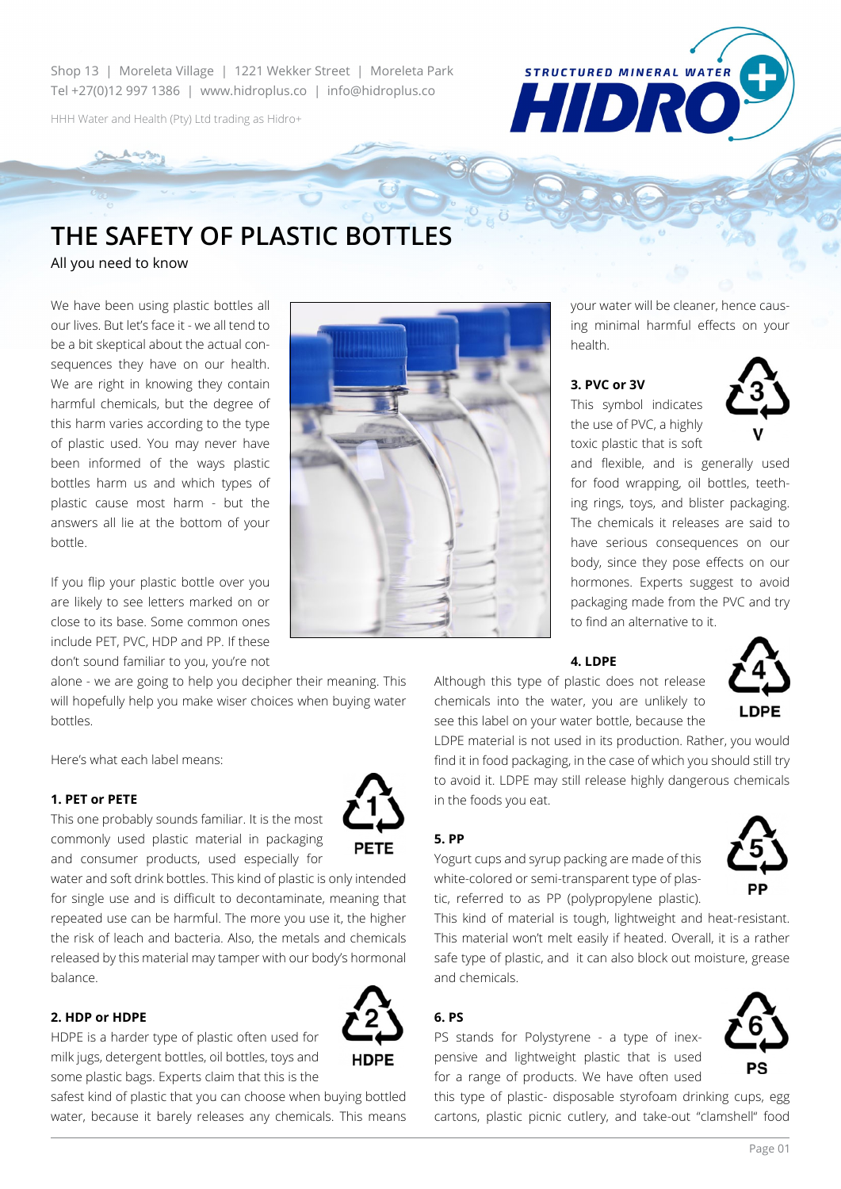Shop 13 | Moreleta Village | 1221 Wekker Street | Moreleta Park Tel +27(0)12 997 1386 | www.hidroplus.co | info@hidroplus.co

HHH Water and Health (Pty) Ltd trading as Hidro+

# **The safety of plastic bottles**

All you need to know

We have been using plastic bottles all our lives. But let's face it - we all tend to be a bit skeptical about the actual consequences they have on our health. We are right in knowing they contain harmful chemicals, but the degree of this harm varies according to the type of plastic used. You may never have been informed of the ways plastic bottles harm us and which types of plastic cause most harm - but the answers all lie at the bottom of your bottle.

If you flip your plastic bottle over you are likely to see letters marked on or close to its base. Some common ones include PET, PVC, HDP and PP. If these don't sound familiar to you, you're not

alone - we are going to help you decipher their meaning. This will hopefully help you make wiser choices when buying water bottles.

Here's what each label means:

#### **1. PET or PETE**

This one probably sounds familiar. It is the most commonly used plastic material in packaging and consumer products, used especially for

water and soft drink bottles. This kind of plastic is only intended for single use and is difficult to decontaminate, meaning that repeated use can be harmful. The more you use it, the higher the risk of leach and bacteria. Also, the metals and chemicals released by this material may tamper with our body's hormonal balance.

## **2. HDP or HDPE**

HDPE is a harder type of plastic often used for milk jugs, detergent bottles, oil bottles, toys and some plastic bags. Experts claim that this is the

safest kind of plastic that you can choose when buying bottled water, because it barely releases any chemicals. This means



your water will be cleaner, hence causing minimal harmful effects on your health.

#### **3. PVC or 3V**

This symbol indicates the use of PVC, a highly toxic plastic that is soft

**STRUCTURED MINERAL WATER** 

HIDR



and flexible, and is generally used for food wrapping, oil bottles, teething rings, toys, and blister packaging. The chemicals it releases are said to have serious consequences on our body, since they pose effects on our hormones. Experts suggest to avoid packaging made from the PVC and try to find an alternative to it.

#### **4. LDPE**

Although this type of plastic does not release chemicals into the water, you are unlikely to see this label on your water bottle, because the

LDPE material is not used in its production. Rather, you would find it in food packaging, in the case of which you should still try to avoid it. LDPE may still release highly dangerous chemicals in the foods you eat.

# **5. PP**

Yogurt cups and syrup packing are made of this white-colored or semi-transparent type of plastic, referred to as PP (polypropylene plastic).

This kind of material is tough, lightweight and heat-resistant. This material won't melt easily if heated. Overall, it is a rather safe type of plastic, and it can also block out moisture, grease and chemicals.

#### **6. PS**

PS stands for Polystyrene - a type of inexpensive and lightweight plastic that is used for a range of products. We have often used

this type of plastic- disposable styrofoam drinking cups, egg cartons, plastic picnic cutlery, and take-out "clamshell" food







**PETE**